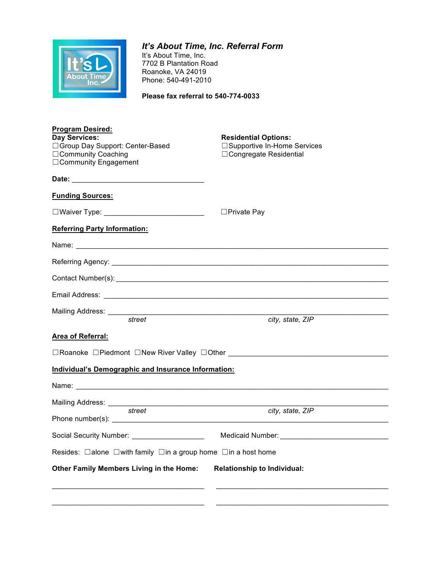

*It's About Time, Inc. Referral Form* It's About Time, Inc. 7702 B Plantation Road Roanoke, VA 24019 Phone: 540-491-2010

**Please fax referral to 540-774-0033**

| <b>Program Desired:</b><br><b>Day Services:</b><br>□ Group Day Support: Center-Based<br>□ Community Coaching<br>□ Community Engagement                                                                                         | <b>Residential Options:</b><br>□ Supportive In-Home Services<br>□ Congregate Residential |  |  |
|--------------------------------------------------------------------------------------------------------------------------------------------------------------------------------------------------------------------------------|------------------------------------------------------------------------------------------|--|--|
| Date: Note: The Commission of the Commission of the Commission of the Commission of the Commission of the Commission of the Commission of the Commission of the Commission of the Commission of the Commission of the Commissi |                                                                                          |  |  |
| <b>Funding Sources:</b>                                                                                                                                                                                                        |                                                                                          |  |  |
| □Waiver Type: _____________________________                                                                                                                                                                                    | $\Box$ Private Pay                                                                       |  |  |
| <b>Referring Party Information:</b>                                                                                                                                                                                            |                                                                                          |  |  |
|                                                                                                                                                                                                                                |                                                                                          |  |  |
|                                                                                                                                                                                                                                |                                                                                          |  |  |
|                                                                                                                                                                                                                                |                                                                                          |  |  |
|                                                                                                                                                                                                                                |                                                                                          |  |  |
| Mailing Address: _________<br><u> 1989 - Johann Barbara, martxa alemaniar a</u><br>street                                                                                                                                      | city, state, ZIP                                                                         |  |  |
| <b>Area of Referral:</b>                                                                                                                                                                                                       |                                                                                          |  |  |
|                                                                                                                                                                                                                                |                                                                                          |  |  |
| <b>Individual's Demographic and Insurance Information:</b>                                                                                                                                                                     |                                                                                          |  |  |
|                                                                                                                                                                                                                                |                                                                                          |  |  |
|                                                                                                                                                                                                                                |                                                                                          |  |  |
| street                                                                                                                                                                                                                         | city, state, ZIP                                                                         |  |  |
|                                                                                                                                                                                                                                |                                                                                          |  |  |
| Social Security Number: ____________________                                                                                                                                                                                   |                                                                                          |  |  |
| Resides: □ alone □ with family □ in a group home □ in a host home                                                                                                                                                              |                                                                                          |  |  |
| Other Family Members Living in the Home:<br><b>Relationship to Individual:</b>                                                                                                                                                 |                                                                                          |  |  |
|                                                                                                                                                                                                                                |                                                                                          |  |  |
|                                                                                                                                                                                                                                |                                                                                          |  |  |